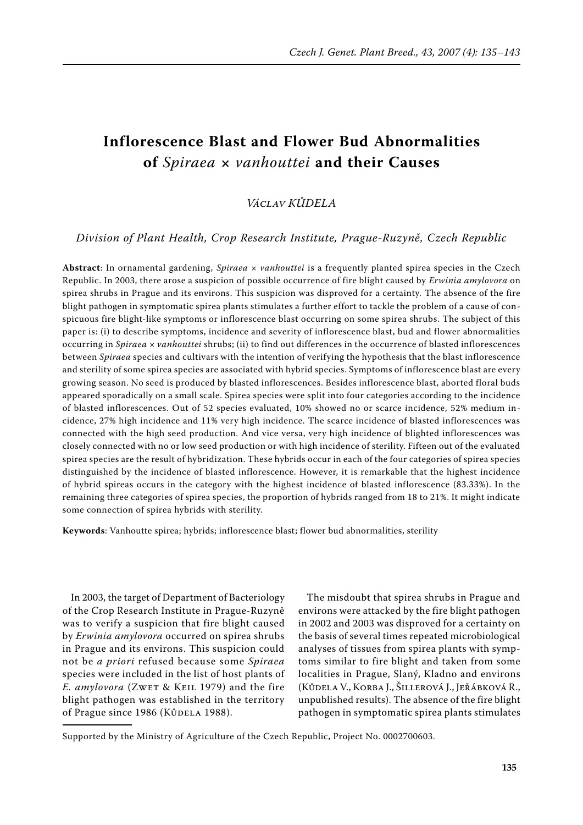# **Inflorescence Blast and Flower Bud Abnormalities of** *Spiraea* **×** *vanhouttei* **and their Causes**

# *Václav Kůdela*

*Division of Plant Health, Crop Research Institute, Prague-Ruzyně, Czech Republic*

**Abstract**: In ornamental gardening, *Spiraea* × *vanhouttei* is a frequently planted spirea species in the Czech Republic. In 2003, there arose a suspicion of possible occurrence of fire blight caused by *Erwinia amylovora* on spirea shrubs in Prague and its environs. This suspicion was disproved for a certainty. The absence of the fire blight pathogen in symptomatic spirea plants stimulates a further effort to tackle the problem of a cause of conspicuous fire blight-like symptoms or inflorescence blast occurring on some spirea shrubs. The subject of this paper is: (i) to describe symptoms, incidence and severity of inflorescence blast, bud and flower abnormalities occurring in *Spiraea* × *vanhouttei* shrubs; (ii) to find out differences in the occurrence of blasted inflorescences between *Spiraea* species and cultivars with the intention of verifying the hypothesis that the blast inflorescence and sterility of some spirea species are associated with hybrid species. Symptoms of inflorescence blast are every growing season. No seed is produced by blasted inflorescences. Besides inflorescence blast, aborted floral buds appeared sporadically on a small scale. Spirea species were split into four categories according to the incidence of blasted inflorescences. Out of 52 species evaluated, 10% showed no or scarce incidence, 52% medium incidence, 27% high incidence and 11% very high incidence. The scarce incidence of blasted inflorescences was connected with the high seed production. And vice versa, very high incidence of blighted inflorescences was closely connected with no or low seed production or with high incidence of sterility. Fifteen out of the evaluated spirea species are the result of hybridization. These hybrids occur in each of the four categories of spirea species distinguished by the incidence of blasted inflorescence. However, it is remarkable that the highest incidence of hybrid spireas occurs in the category with the highest incidence of blasted inflorescence (83.33%). In the remaining three categories of spirea species, the proportion of hybrids ranged from 18 to 21%. It might indicate some connection of spirea hybrids with sterility.

**Keywords**: Vanhoutte spirea; hybrids; inflorescence blast; flower bud abnormalities, sterility

In 2003, the target of Department of Bacteriology of the Crop Research Institute in Prague-Ruzyně was to verify a suspicion that fire blight caused by *Erwinia amylovora* occurred on spirea shrubs in Prague and its environs. This suspicion could not be *a priori* refused because some *Spiraea* species were included in the list of host plants of *E. amylovora* (Zwet & Keil 1979) and the fire blight pathogen was established in the territory of Prague since 1986 (KůDELA 1988).

The misdoubt that spirea shrubs in Prague and environs were attacked by the fire blight pathogen in 2002 and 2003 was disproved for a certainty on the basis of several times repeated microbiological analyses of tissues from spirea plants with symptoms similar to fire blight and taken from some localities in Prague, Slaný, Kladno and environs (Kůdela V., Korba J., Šillerová J., Jeřábková R., unpublished results). The absence of the fire blight pathogen in symptomatic spirea plants stimulates

Supported by the Ministry of Agriculture of the Czech Republic, Project No. 0002700603.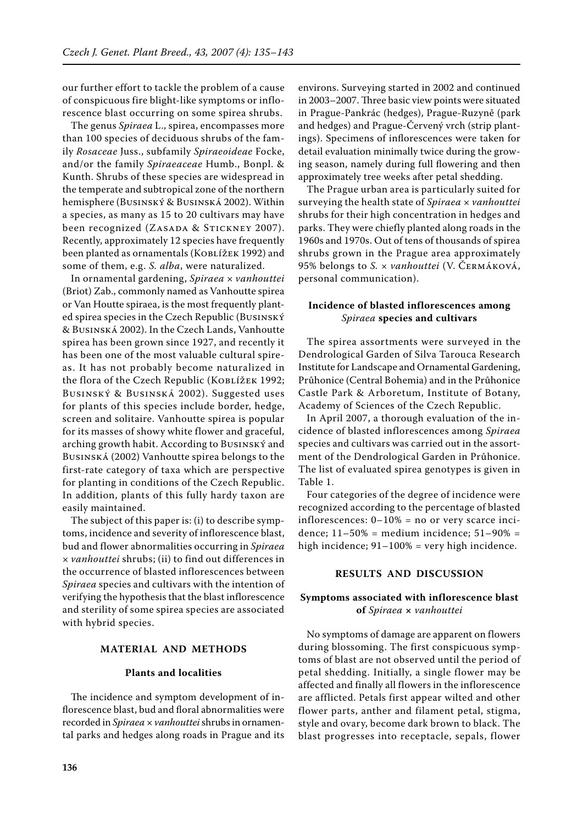our further effort to tackle the problem of a cause of conspicuous fire blight-like symptoms or inflorescence blast occurring on some spirea shrubs.

The genus *Spiraea* L., spirea, encompasses more than 100 species of deciduous shrubs of the family *Rosaceae* Juss., subfamily *Spiraeoideae* Focke, and/or the family *Spiraeaceae* Humb., Bonpl. & Kunth. Shrubs of these species are widespread in the temperate and subtropical zone of the northern hemisphere (Businský & Businská 2002). Within a species, as many as 15 to 20 cultivars may have been recognized (ZASADA & STICKNEY 2007). Recently, approximately 12 species have frequently been planted as ornamentals (Koblížek 1992) and some of them, e.g. *S. alba*, were naturalized.

In ornamental gardening, *Spiraea* × *vanhouttei* (Briot) Zab., commonly named as Vanhoutte spirea or Van Houtte spiraea, is the most frequently planted spirea species in the Czech Republic (Businský & Businská 2002). In the Czech Lands, Vanhoutte spirea has been grown since 1927, and recently it has been one of the most valuable cultural spireas. It has not probably become naturalized in the flora of the Czech Republic (KOBLÍŽEK 1992; Businský & Businská 2002). Suggested uses for plants of this species include border, hedge, screen and solitaire. Vanhoutte spirea is popular for its masses of showy white flower and graceful, arching growth habit. According to Businský and Businská (2002) Vanhoutte spirea belongs to the first-rate category of taxa which are perspective for planting in conditions of the Czech Republic. In addition, plants of this fully hardy taxon are easily maintained.

The subject of this paper is: (i) to describe symptoms, incidence and severity of inflorescence blast, bud and flower abnormalities occurring in *Spiraea* × *vanhouttei* shrubs; (ii) to find out differences in the occurrence of blasted inflorescences between *Spiraea* species and cultivars with the intention of verifying the hypothesis that the blast inflorescence and sterility of some spirea species are associated with hybrid species.

#### **Material and Methods**

#### **Plants and localities**

The incidence and symptom development of inflorescence blast, bud and floral abnormalities were recorded in *Spiraea* × *vanhouttei* shrubs in ornamental parks and hedges along roads in Prague and its

environs. Surveying started in 2002 and continued in 2003–2007. Three basic view points were situated in Prague-Pankrác (hedges), Prague-Ruzyně (park and hedges) and Prague-Červený vrch (strip plantings). Specimens of inflorescences were taken for detail evaluation minimally twice during the growing season, namely during full flowering and then approximately tree weeks after petal shedding.

The Prague urban area is particularly suited for surveying the health state of *Spiraea* × *vanhouttei* shrubs for their high concentration in hedges and parks. They were chiefly planted along roads in the 1960s and 1970s. Out of tens of thousands of spirea shrubs grown in the Prague area approximately 95% belongs to *S. × vanhouttei* (V. Čermáková, personal communication).

## **Incidence of blasted inflorescences among**  *Spiraea* **species and cultivars**

The spirea assortments were surveyed in the Dendrological Garden of Silva Tarouca Research Institute for Landscape and Ornamental Gardening, Průhonice (Central Bohemia) and in the Průhonice Castle Park & Arboretum, Institute of Botany, Academy of Sciences of the Czech Republic.

In April 2007, a thorough evaluation of the incidence of blasted inflorescences among *Spiraea* species and cultivars was carried out in the assortment of the Dendrological Garden in Průhonice. The list of evaluated spirea genotypes is given in Table 1.

Four categories of the degree of incidence were recognized according to the percentage of blasted inflorescences:  $0-10\%$  = no or very scarce incidence;  $11-50\%$  = medium incidence;  $51-90\%$  = high incidence; 91-100% = very high incidence.

# **RESULTS AND DISCUSSION**

#### **Symptoms associated with inflorescence blast of** *Spiraea* **×** *vanhouttei*

No symptoms of damage are apparent on flowers during blossoming. The first conspicuous symptoms of blast are not observed until the period of petal shedding. Initially, a single flower may be affected and finally all flowers in the inflorescence are afflicted. Petals first appear wilted and other flower parts, anther and filament petal, stigma, style and ovary, become dark brown to black. The blast progresses into receptacle, sepals, flower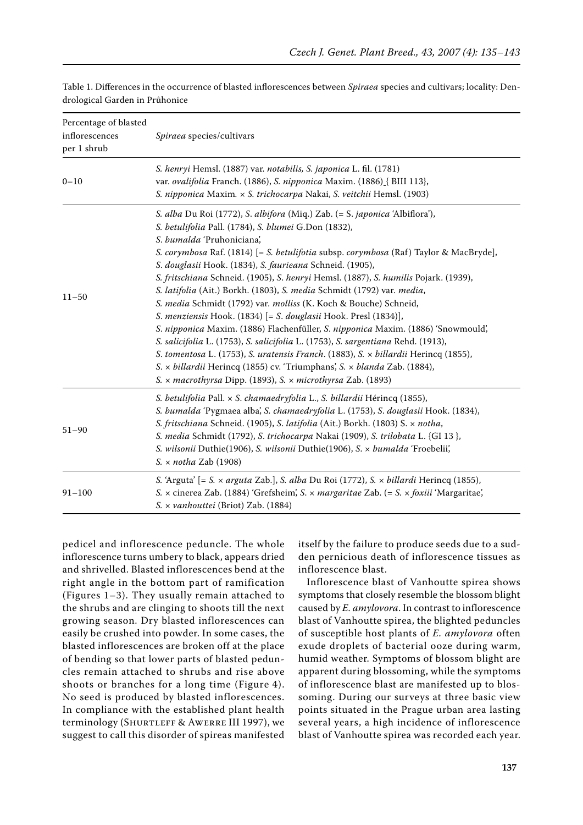| Percentage of blasted<br>inflorescences<br>per 1 shrub | Spiraea species/cultivars                                                                                                                                                                                                                                                                                                                                                                                                                                                                                                                                                                                                                                                                                                                                                                                                                                                                                                                                                                                                                 |
|--------------------------------------------------------|-------------------------------------------------------------------------------------------------------------------------------------------------------------------------------------------------------------------------------------------------------------------------------------------------------------------------------------------------------------------------------------------------------------------------------------------------------------------------------------------------------------------------------------------------------------------------------------------------------------------------------------------------------------------------------------------------------------------------------------------------------------------------------------------------------------------------------------------------------------------------------------------------------------------------------------------------------------------------------------------------------------------------------------------|
| $0 - 10$                                               | S. henryi Hemsl. (1887) var. notabilis, S. japonica L. fil. (1781)<br>var. ovalifolia Franch. (1886), S. nipponica Maxim. (1886) [ BIII 113],<br>S. nipponica Maxim. x S. trichocarpa Nakai, S. veitchii Hemsl. (1903)                                                                                                                                                                                                                                                                                                                                                                                                                                                                                                                                                                                                                                                                                                                                                                                                                    |
| $11 - 50$                                              | S. alba Du Roi (1772), S. albifora (Miq.) Zab. (= S. japonica 'Albiflora'),<br>S. betulifolia Pall. (1784), S. blumei G.Don (1832),<br>S. bumalda 'Pruhoniciana',<br>S. corymbosa Raf. (1814) [= S. betulifotia subsp. corymbosa (Raf) Taylor & MacBryde],<br>S. douglasii Hook. (1834), S. faurieana Schneid. (1905),<br>S. fritschiana Schneid. (1905), S. henryi Hemsl. (1887), S. humilis Pojark. (1939),<br>S. latifolia (Ait.) Borkh. (1803), S. media Schmidt (1792) var. media,<br>S. media Schmidt (1792) var. molliss (K. Koch & Bouche) Schneid,<br>S. menziensis Hook. (1834) [= S. douglasii Hook. Presl (1834)],<br>S. nipponica Maxim. (1886) Flachenfüller, S. nipponica Maxim. (1886) 'Snowmould',<br>S. salicifolia L. (1753), S. salicifolia L. (1753), S. sargentiana Rehd. (1913),<br>S. tomentosa L. (1753), S. uratensis Franch. (1883), S. x billardii Herincq (1855),<br>S. x billardii Herincq (1855) cv. 'Triumphans', S. x blanda Zab. (1884),<br>S. x macrothyrsa Dipp. (1893), S. x microthyrsa Zab. (1893) |
| $51 - 90$                                              | S. betulifolia Pall. x S. chamaedryfolia L., S. billardii Hérincq (1855),<br>S. bumalda 'Pygmaea alba', S. chamaedryfolia L. (1753), S. douglasii Hook. (1834),<br>S. fritschiana Schneid. (1905), S. latifolia (Ait.) Borkh. (1803) S. x notha,<br>S. media Schmidt (1792), S. trichocarpa Nakai (1909), S. trilobata L. {GI 13 },<br>S. wilsonii Duthie(1906), S. wilsonii Duthie(1906), S. x bumalda 'Froebelii',<br>$S. \times \pi$ otha Zab (1908)                                                                                                                                                                                                                                                                                                                                                                                                                                                                                                                                                                                   |
| $91 - 100$                                             | S. 'Arguta' [= S. x arguta Zab.], S. alba Du Roi (1772), S. x billardi Herincq (1855),<br>S. x cinerea Zab. (1884) 'Grefsheim', S. x margaritae Zab. (= S. x foxiii 'Margaritae',<br>S. x vanhouttei (Briot) Zab. (1884)                                                                                                                                                                                                                                                                                                                                                                                                                                                                                                                                                                                                                                                                                                                                                                                                                  |

Table 1. Differences in the occurrence of blasted inflorescences between *Spiraea* species and cultivars; locality: Dendrological Garden in Průhonice

pedicel and inflorescence peduncle. The whole inflorescence turns umbery to black, appears dried and shrivelled. Blasted inflorescences bend at the right angle in the bottom part of ramification (Figures 1–3). They usually remain attached to the shrubs and are clinging to shoots till the next growing season. Dry blasted inflorescences can easily be crushed into powder. In some cases, the blasted inflorescences are broken off at the place of bending so that lower parts of blasted peduncles remain attached to shrubs and rise above shoots or branches for a long time (Figure 4). No seed is produced by blasted inflorescences. In compliance with the established plant health terminology (SHURTLEFF & AWERRE III 1997), we suggest to call this disorder of spireas manifested itself by the failure to produce seeds due to a sudden pernicious death of inflorescence tissues as inflorescence blast.

Inflorescence blast of Vanhoutte spirea shows symptoms that closely resemble the blossom blight caused by *E. amylovora*. In contrast to inflorescence blast of Vanhoutte spirea, the blighted peduncles of susceptible host plants of *E. amylovora* often exude droplets of bacterial ooze during warm, humid weather. Symptoms of blossom blight are apparent during blossoming, while the symptoms of inflorescence blast are manifested up to blossoming. During our surveys at three basic view points situated in the Prague urban area lasting several years, a high incidence of inflorescence blast of Vanhoutte spirea was recorded each year.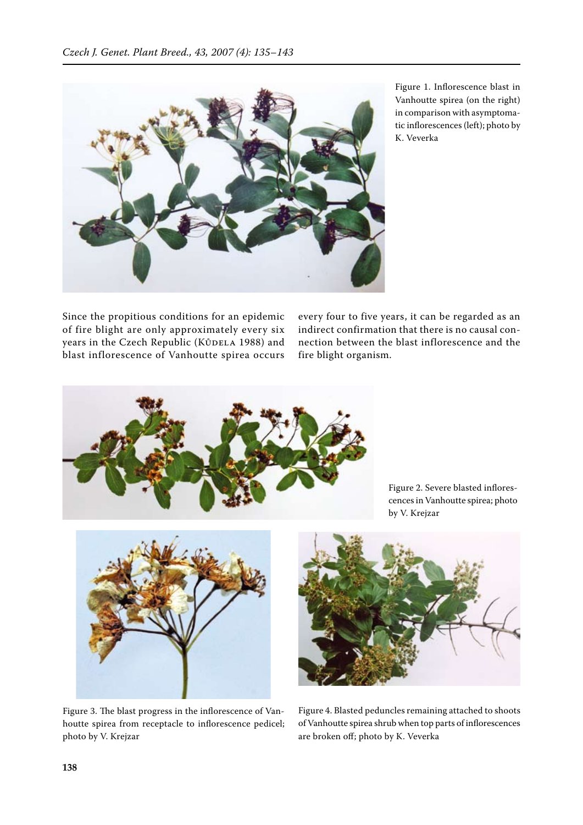

Figure 1. Inflorescence blast in Vanhoutte spirea (on the right) in comparison with asymptomatic inflorescences (left); photo by K. Veverka

Since the propitious conditions for an epidemic of fire blight are only approximately every six years in the Czech Republic (KůDELA 1988) and blast inflorescence of Vanhoutte spirea occurs

every four to five years, it can be regarded as an indirect confirmation that there is no causal connection between the blast inflorescence and the fire blight organism.



Figure 2. Severe blasted inflorescences in Vanhoutte spirea; photo by V. Krejzar



Figure 3. The blast progress in the inflorescence of Vanhoutte spirea from receptacle to inflorescence pedicel; photo by V. Krejzar

Figure 4. Blasted peduncles remaining attached to shoots of Vanhoutte spirea shrub when top parts of inflorescences are broken off; photo by K. Veverka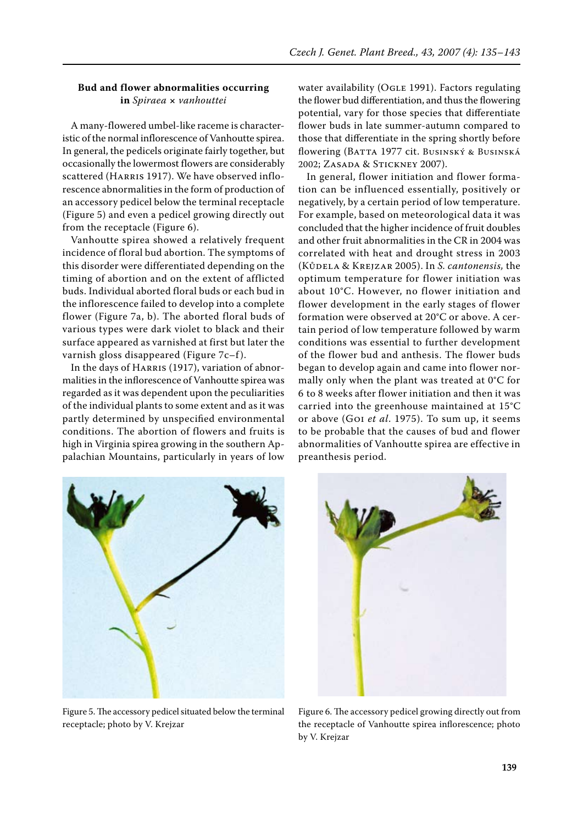#### **Bud and flower abnormalities occurring in** *Spiraea* **×** *vanhouttei*

A many-flowered umbel-like raceme is characteristic of the normal inflorescence of Vanhoutte spirea. In general, the pedicels originate fairly together, but occasionally the lowermost flowers are considerably scattered (HARRIS 1917). We have observed inflorescence abnormalities in the form of production of an accessory pedicel below the terminal receptacle (Figure 5) and even a pedicel growing directly out from the receptacle (Figure 6).

Vanhoutte spirea showed a relatively frequent incidence of floral bud abortion. The symptoms of this disorder were differentiated depending on the timing of abortion and on the extent of afflicted buds. Individual aborted floral buds or each bud in the inflorescence failed to develop into a complete flower (Figure 7a, b). The aborted floral buds of various types were dark violet to black and their surface appeared as varnished at first but later the varnish gloss disappeared (Figure  $7c-f$ ).

In the days of HARRIS (1917), variation of abnormalities in the inflorescence of Vanhoutte spirea was regarded as it was dependent upon the peculiarities of the individual plants to some extent and as it was partly determined by unspecified environmental conditions. The abortion of flowers and fruits is high in Virginia spirea growing in the southern Appalachian Mountains, particularly in years of low

water availability (OGLE 1991). Factors regulating the flower bud differentiation, and thus the flowering potential, vary for those species that differentiate flower buds in late summer-autumn compared to those that differentiate in the spring shortly before flowering (BATTA 1977 cit. BUSINSKÝ & BUSINSKÁ 2002; Zasada & Stickney 2007).

In general, flower initiation and flower formation can be influenced essentially, positively or negatively, by a certain period of low temperature. For example, based on meteorological data it was concluded that the higher incidence of fruit doubles and other fruit abnormalities in the CR in 2004 was correlated with heat and drought stress in 2003 (Kůdela & Krejzar 2005). In *S. cantonensis,* the optimum temperature for flower initiation was about 10°C. However, no flower initiation and flower development in the early stages of flower formation were observed at 20°C or above. A certain period of low temperature followed by warm conditions was essential to further development of the flower bud and anthesis. The flower buds began to develop again and came into flower normally only when the plant was treated at 0°C for 6 to 8 weeks after flower initiation and then it was carried into the greenhouse maintained at 15°C or above (Goi *et al*. 1975). To sum up, it seems to be probable that the causes of bud and flower abnormalities of Vanhoutte spirea are effective in preanthesis period.



Figure 5. The accessory pedicel situated below the terminal receptacle; photo by V. Krejzar



Figure 6. The accessory pedicel growing directly out from the receptacle of Vanhoutte spirea inflorescence; photo by V. Krejzar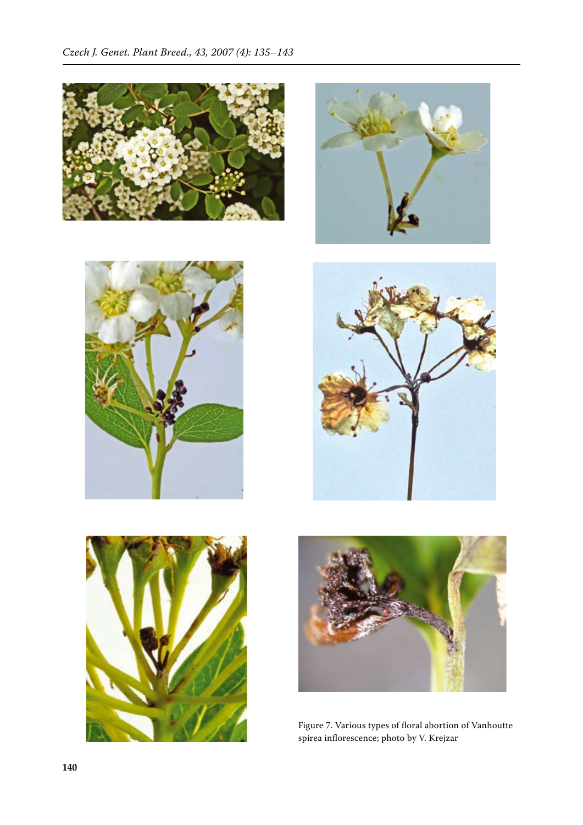











Figure 7. Various types of floral abortion of Vanhoutte spirea inflorescence; photo by V. Krejzar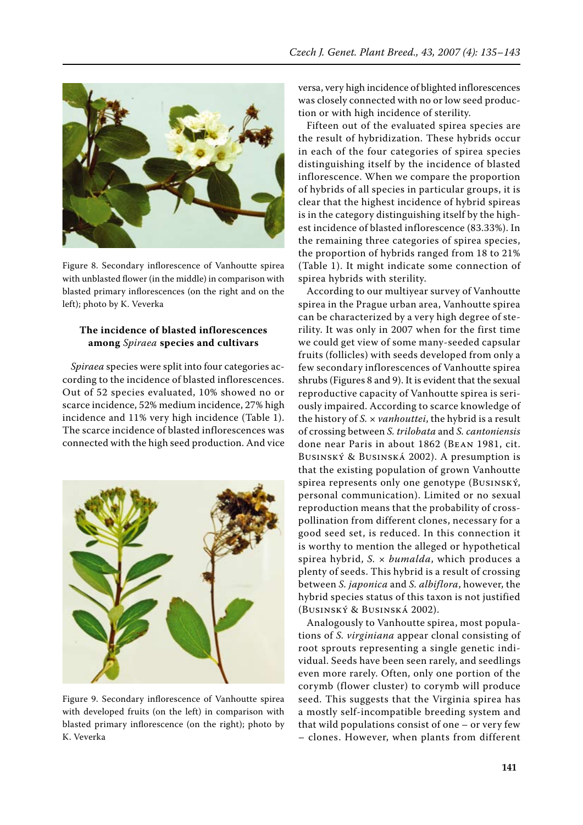

Figure 8. Secondary inflorescence of Vanhoutte spirea with unblasted flower (in the middle) in comparison with blasted primary inflorescences (on the right and on the left); photo by K. Veverka

## **The incidence of blasted inflorescences among** *Spiraea* **species and cultivars**

*Spiraea* species were split into four categories according to the incidence of blasted inflorescences. Out of 52 species evaluated, 10% showed no or scarce incidence, 52% medium incidence, 27% high incidence and 11% very high incidence (Table 1). The scarce incidence of blasted inflorescences was connected with the high seed production. And vice



Figure 9. Secondary inflorescence of Vanhoutte spirea with developed fruits (on the left) in comparison with blasted primary inflorescence (on the right); photo by K. Veverka

versa, very high incidence of blighted inflorescences was closely connected with no or low seed production or with high incidence of sterility.

Fifteen out of the evaluated spirea species are the result of hybridization. These hybrids occur in each of the four categories of spirea species distinguishing itself by the incidence of blasted inflorescence. When we compare the proportion of hybrids of all species in particular groups, it is clear that the highest incidence of hybrid spireas is in the category distinguishing itself by the highest incidence of blasted inflorescence (83.33%). In the remaining three categories of spirea species, the proportion of hybrids ranged from 18 to 21% (Table 1). It might indicate some connection of spirea hybrids with sterility.

According to our multiyear survey of Vanhoutte spirea in the Prague urban area, Vanhoutte spirea can be characterized by a very high degree of sterility. It was only in 2007 when for the first time we could get view of some many-seeded capsular fruits (follicles) with seeds developed from only a few secondary inflorescences of Vanhoutte spirea shrubs (Figures 8 and 9). It is evident that the sexual reproductive capacity of Vanhoutte spirea is seriously impaired. According to scarce knowledge of the history of *S.* × *vanhouttei*, the hybrid is a result of crossing between *S. trilobata* and *S. cantoniensis* done near Paris in about 1862 (Bean 1981, cit. Businský & Businská 2002). A presumption is that the existing population of grown Vanhoutte spirea represents only one genotype (Businský, personal communication). Limited or no sexual reproduction means that the probability of crosspollination from different clones, necessary for a good seed set, is reduced. In this connection it is worthy to mention the alleged or hypothetical spirea hybrid, *S.* × *bumalda*, which produces a plenty of seeds. This hybrid is a result of crossing between *S. japonica* and *S. albiflora*, however, the hybrid species status of this taxon is not justified (Businský & Businská 2002).

Analogously to Vanhoutte spirea, most populations of *S. virginiana* appear clonal consisting of root sprouts representing a single genetic individual. Seeds have been seen rarely, and seedlings even more rarely. Often, only one portion of the corymb (flower cluster) to corymb will produce seed. This suggests that the Virginia spirea has a mostly self-incompatible breeding system and that wild populations consist of one – or very few – clones. However, when plants from different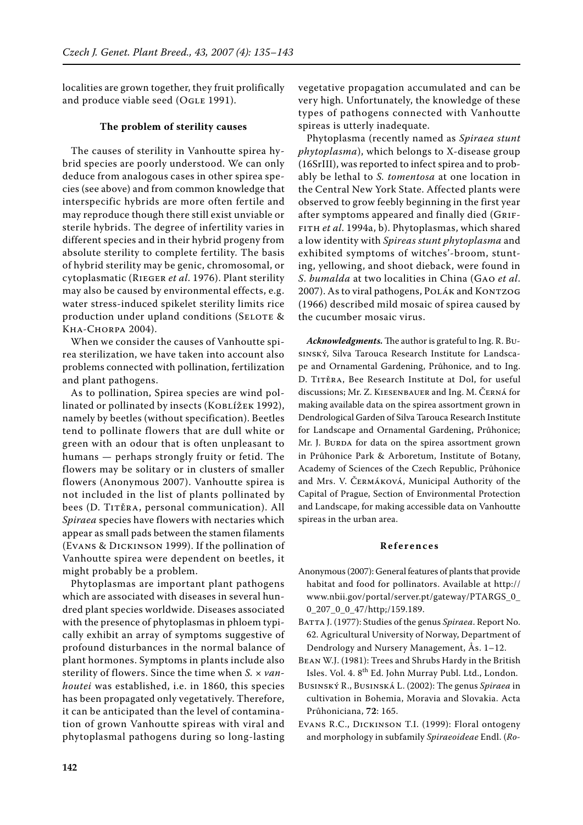localities are grown together, they fruit prolifically and produce viable seed (OGLE 1991).

#### **The problem of sterility causes**

The causes of sterility in Vanhoutte spirea hybrid species are poorly understood. We can only deduce from analogous cases in other spirea species (see above) and from common knowledge that interspecific hybrids are more often fertile and may reproduce though there still exist unviable or sterile hybrids. The degree of infertility varies in different species and in their hybrid progeny from absolute sterility to complete fertility. The basis of hybrid sterility may be genic, chromosomal, or cytoplasmatic (Rieger *et al*. 1976). Plant sterility may also be caused by environmental effects, e.g. water stress-induced spikelet sterility limits rice production under upland conditions (SELOTE & Kha-Chorpa 2004).

When we consider the causes of Vanhoutte spirea sterilization, we have taken into account also problems connected with pollination, fertilization and plant pathogens.

As to pollination, Spirea species are wind pollinated or pollinated by insects (KOBLÍŽEK 1992), namely by beetles (without specification). Beetles tend to pollinate flowers that are dull white or green with an odour that is often unpleasant to humans — perhaps strongly fruity or fetid. The flowers may be solitary or in clusters of smaller flowers (Anonymous 2007). Vanhoutte spirea is not included in the list of plants pollinated by bees (D. TITĚRA, personal communication). All *Spiraea* species have flowers with nectaries which appear as small pads between the stamen filaments (Evans & Dickinson 1999). If the pollination of Vanhoutte spirea were dependent on beetles, it might probably be a problem.

Phytoplasmas are important plant pathogens which are associated with diseases in several hundred plant species worldwide. Diseases associated with the presence of phytoplasmas in phloem typically exhibit an array of symptoms suggestive of profound disturbances in the normal balance of plant hormones. Symptoms in plants include also sterility of flowers. Since the time when *S.* × *vanhoutei* was established, i.e. in 1860, this species has been propagated only vegetatively. Therefore, it can be anticipated than the level of contamination of grown Vanhoutte spireas with viral and phytoplasmal pathogens during so long-lasting

vegetative propagation accumulated and can be very high. Unfortunately, the knowledge of these types of pathogens connected with Vanhoutte spireas is utterly inadequate.

Phytoplasma (recently named as *Spiraea stunt phytoplasma*), which belongs to X-disease group (16SrIII), was reported to infect spirea and to probably be lethal to *S. tomentosa* at one location in the Central New York State. Affected plants were observed to grow feebly beginning in the first year after symptoms appeared and finally died (GRIFfith *et al*. 1994a, b). Phytoplasmas, which shared a low identity with *Spireas stunt phytoplasma* and exhibited symptoms of witches'-broom, stunting, yellowing, and shoot dieback, were found in *S*. *bumalda* at two localities in China (Gao *et al*. 2007). As to viral pathogens, Polák and Kontzog (1966) described mild mosaic of spirea caused by the cucumber mosaic virus.

*Acknowledgments.*The author is grateful to Ing. R. Businský, Silva Tarouca Research Institute for Landscape and Ornamental Gardening, Průhonice, and to Ing. D. Titěra, Bee Research Institute at Dol, for useful discussions; Mr. Z. Kiesenbauer and Ing. M. Černá for making available data on the spirea assortment grown in Dendrological Garden of Silva Tarouca Research Institute for Landscape and Ornamental Gardening, Průhonice; Mr. J. BURDA for data on the spirea assortment grown in Průhonice Park & Arboretum, Institute of Botany, Academy of Sciences of the Czech Republic, Průhonice and Mrs. V. Čermáková, Municipal Authority of the Capital of Prague, Section of Environmental Protection and Landscape, for making accessible data on Vanhoutte spireas in the urban area.

#### **Re f e r e n c e s**

- Anonymous (2007): General features of plants that provide habitat and food for pollinators. Available at http:// www.nbii.gov/portal/server.pt/gateway/PTARGS\_0\_ 0\_207\_0\_0\_47/http;/159.189.
- BATTA J. (1977): Studies of the genus Spiraea. Report No. 62. Agricultural University of Norway, Department of Dendrology and Nursery Management, Ås. 1–12.
- Bean W.J. (1981): Trees and Shrubs Hardy in the British Isles. Vol. 4. 8th Ed. John Murray Publ. Ltd., London.
- Businský R., Businská L. (2002): The genus *Spiraea* in cultivation in Bohemia, Moravia and Slovakia. Acta Průhoniciana, **72**: 165.
- Evans R.C., Dickinson T.I. (1999): Floral ontogeny and morphology in subfamily *Spiraeoideae* Endl. (*Ro-*